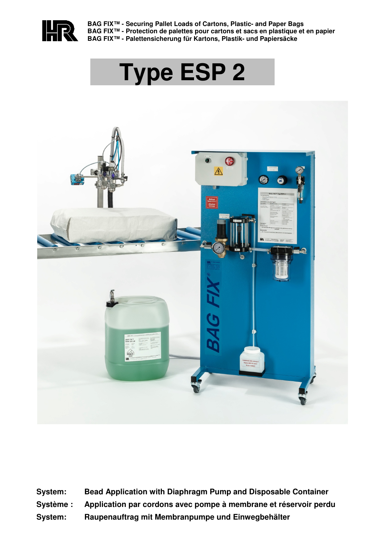

**BAG FIX™ - Securing Pallet Loads of Cartons, Plastic- and Paper Bags BAG FIX™ - Protection de palettes pour cartons et sacs en plastique et en papier BAG FIX™ - Palettensicherung für Kartons, Plastik- und Papiersäcke**

# **Type ESP 2**



**System: Bead Application with Diaphragm Pump and Disposable Container Système : Application par cordons avec pompe à membrane et réservoir perdu System: Raupenauftrag mit Membranpumpe und Einwegbehälter**